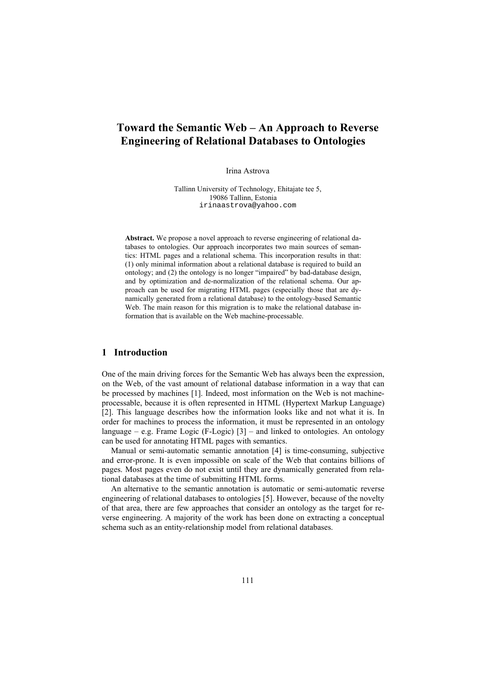# **Toward the Semantic Web – An Approach to Reverse Engineering of Relational Databases to Ontologies**

Irina Astrova

Tallinn University of Technology, Ehitajate tee 5, 19086 Tallinn, Estonia irinaastrova@yahoo.com

**Abstract.** We propose a novel approach to reverse engineering of relational databases to ontologies. Our approach incorporates two main sources of semantics: HTML pages and a relational schema. This incorporation results in that: (1) only minimal information about a relational database is required to build an ontology; and (2) the ontology is no longer "impaired" by bad-database design, and by optimization and de-normalization of the relational schema. Our approach can be used for migrating HTML pages (especially those that are dynamically generated from a relational database) to the ontology-based Semantic Web. The main reason for this migration is to make the relational database information that is available on the Web machine-processable.

# **1 Introduction**

One of the main driving forces for the Semantic Web has always been the expression, on the Web, of the vast amount of relational database information in a way that can be processed by machines [1]. Indeed, most information on the Web is not machineprocessable, because it is often represented in HTML (Hypertext Markup Language) [2]. This language describes how the information looks like and not what it is. In order for machines to process the information, it must be represented in an ontology language – e.g. Frame Logic (F-Logic)  $[3]$  – and linked to ontologies. An ontology can be used for annotating HTML pages with semantics.

Manual or semi-automatic semantic annotation [4] is time-consuming, subjective and error-prone. It is even impossible on scale of the Web that contains billions of pages. Most pages even do not exist until they are dynamically generated from relational databases at the time of submitting HTML forms.

An alternative to the semantic annotation is automatic or semi-automatic reverse engineering of relational databases to ontologies [5]. However, because of the novelty of that area, there are few approaches that consider an ontology as the target for reverse engineering. A majority of the work has been done on extracting a conceptual schema such as an entity-relationship model from relational databases.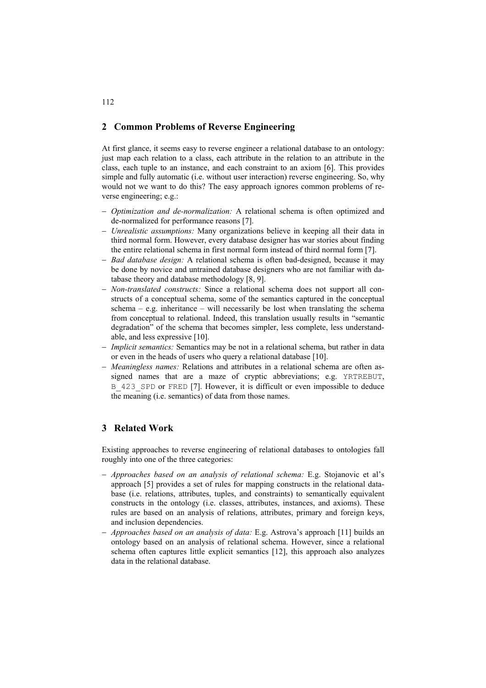# **2 Common Problems of Reverse Engineering**

At first glance, it seems easy to reverse engineer a relational database to an ontology: just map each relation to a class, each attribute in the relation to an attribute in the class, each tuple to an instance, and each constraint to an axiom [6]. This provides simple and fully automatic (i.e. without user interaction) reverse engineering. So, why would not we want to do this? The easy approach ignores common problems of reverse engineering; e.g.:

- − *Optimization and de-normalization:* A relational schema is often optimized and de-normalized for performance reasons [7].
- − *Unrealistic assumptions:* Many organizations believe in keeping all their data in third normal form. However, every database designer has war stories about finding the entire relational schema in first normal form instead of third normal form [7].
- − *Bad database design:* A relational schema is often bad-designed, because it may be done by novice and untrained database designers who are not familiar with database theory and database methodology [8, 9].
- − *Non-translated constructs:* Since a relational schema does not support all constructs of a conceptual schema, some of the semantics captured in the conceptual schema – e.g. inheritance – will necessarily be lost when translating the schema from conceptual to relational. Indeed, this translation usually results in "semantic degradation" of the schema that becomes simpler, less complete, less understandable, and less expressive [10].
- − *Implicit semantics:* Semantics may be not in a relational schema, but rather in data or even in the heads of users who query a relational database [10].
- − *Meaningless names:* Relations and attributes in a relational schema are often assigned names that are a maze of cryptic abbreviations; e.g. YRTREBUT, B 423 SPD or FRED [7]. However, it is difficult or even impossible to deduce the meaning (i.e. semantics) of data from those names.

# **3 Related Work**

Existing approaches to reverse engineering of relational databases to ontologies fall roughly into one of the three categories:

- − *Approaches based on an analysis of relational schema:* E.g. Stojanovic et al's approach [5] provides a set of rules for mapping constructs in the relational database (i.e. relations, attributes, tuples, and constraints) to semantically equivalent constructs in the ontology (i.e. classes, attributes, instances, and axioms). These rules are based on an analysis of relations, attributes, primary and foreign keys, and inclusion dependencies.
- − *Approaches based on an analysis of data:* E.g. Astrova's approach [11] builds an ontology based on an analysis of relational schema. However, since a relational schema often captures little explicit semantics [12], this approach also analyzes data in the relational database.

112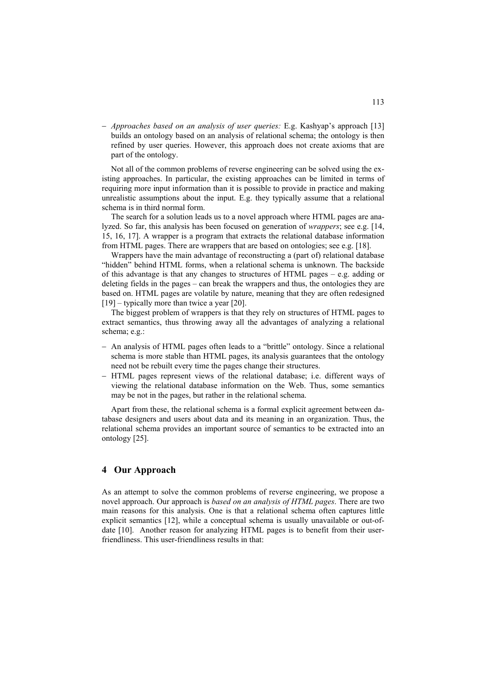− *Approaches based on an analysis of user queries:* E.g. Kashyap's approach [13] builds an ontology based on an analysis of relational schema; the ontology is then refined by user queries. However, this approach does not create axioms that are part of the ontology.

Not all of the common problems of reverse engineering can be solved using the existing approaches. In particular, the existing approaches can be limited in terms of requiring more input information than it is possible to provide in practice and making unrealistic assumptions about the input. E.g. they typically assume that a relational schema is in third normal form.

The search for a solution leads us to a novel approach where HTML pages are analyzed. So far, this analysis has been focused on generation of *wrappers*; see e.g. [14, 15, 16, 17]. A wrapper is a program that extracts the relational database information from HTML pages. There are wrappers that are based on ontologies; see e.g. [18].

Wrappers have the main advantage of reconstructing a (part of) relational database "hidden" behind HTML forms, when a relational schema is unknown. The backside of this advantage is that any changes to structures of HTML pages – e.g. adding or deleting fields in the pages – can break the wrappers and thus, the ontologies they are based on. HTML pages are volatile by nature, meaning that they are often redesigned [19] – typically more than twice a year [20].

The biggest problem of wrappers is that they rely on structures of HTML pages to extract semantics, thus throwing away all the advantages of analyzing a relational schema; e.g.:

- − An analysis of HTML pages often leads to a "brittle" ontology. Since a relational schema is more stable than HTML pages, its analysis guarantees that the ontology need not be rebuilt every time the pages change their structures.
- − HTML pages represent views of the relational database; i.e. different ways of viewing the relational database information on the Web. Thus, some semantics may be not in the pages, but rather in the relational schema.

Apart from these, the relational schema is a formal explicit agreement between database designers and users about data and its meaning in an organization. Thus, the relational schema provides an important source of semantics to be extracted into an ontology [25].

# **4 Our Approach**

As an attempt to solve the common problems of reverse engineering, we propose a novel approach. Our approach is *based on an analysis of HTML pages*. There are two main reasons for this analysis. One is that a relational schema often captures little explicit semantics [12], while a conceptual schema is usually unavailable or out-ofdate [10]. Another reason for analyzing HTML pages is to benefit from their userfriendliness. This user-friendliness results in that: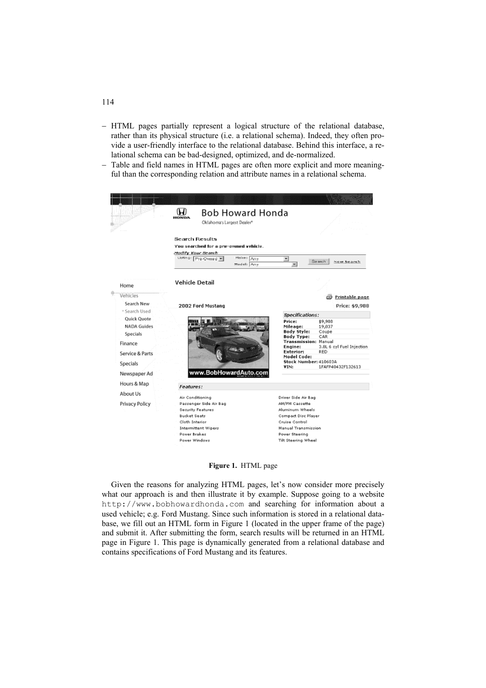- − HTML pages partially represent a logical structure of the relational database, rather than its physical structure (i.e. a relational schema). Indeed, they often provide a user-friendly interface to the relational database. Behind this interface, a relational schema can be bad-designed, optimized, and de-normalized.
- Table and field names in HTML pages are often more explicit and more meaningful than the corresponding relation and attribute names in a relational schema.



**Figure 1.** HTML page

Given the reasons for analyzing HTML pages, let's now consider more precisely what our approach is and then illustrate it by example. Suppose going to a website http://www.bobhowardhonda.com and searching for information about a used vehicle; e.g. Ford Mustang. Since such information is stored in a relational database, we fill out an HTML form in Figure 1 (located in the upper frame of the page) and submit it. After submitting the form, search results will be returned in an HTML page in Figure 1. This page is dynamically generated from a relational database and contains specifications of Ford Mustang and its features.

### 114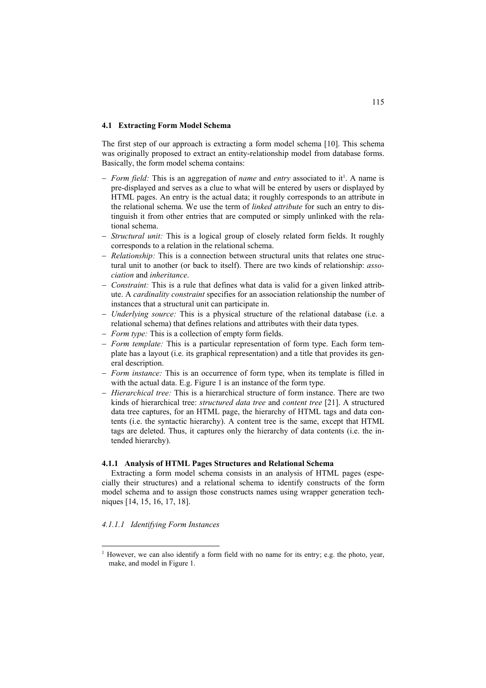#### **4.1 Extracting Form Model Schema**

The first step of our approach is extracting a form model schema [10]. This schema was originally proposed to extract an entity-relationship model from database forms. Basically, the form model schema contains:

- − *Form field:* This is an aggregation of *name* and *entry* associated to it<sup>1</sup>. A name is pre-displayed and serves as a clue to what will be entered by users or displayed by HTML pages. An entry is the actual data; it roughly corresponds to an attribute in the relational schema. We use the term of *linked attribute* for such an entry to distinguish it from other entries that are computed or simply unlinked with the relational schema.
- − *Structural unit:* This is a logical group of closely related form fields. It roughly corresponds to a relation in the relational schema.
- − *Relationship:* This is a connection between structural units that relates one structural unit to another (or back to itself). There are two kinds of relationship: *association* and *inheritance*.
- *Constraint:* This is a rule that defines what data is valid for a given linked attribute. A *cardinality constraint* specifies for an association relationship the number of instances that a structural unit can participate in.
- − *Underlying source:* This is a physical structure of the relational database (i.e. a relational schema) that defines relations and attributes with their data types.
- − *Form type:* This is a collection of empty form fields.
- − *Form template:* This is a particular representation of form type. Each form template has a layout (i.e. its graphical representation) and a title that provides its general description.
- − *Form instance:* This is an occurrence of form type, when its template is filled in with the actual data. E.g. Figure 1 is an instance of the form type.
- − *Hierarchical tree:* This is a hierarchical structure of form instance. There are two kinds of hierarchical tree: *structured data tree* and *content tree* [21]. A structured data tree captures, for an HTML page, the hierarchy of HTML tags and data contents (i.e. the syntactic hierarchy). A content tree is the same, except that HTML tags are deleted. Thus, it captures only the hierarchy of data contents (i.e. the intended hierarchy).

### **4.1.1 Analysis of HTML Pages Structures and Relational Schema**

Extracting a form model schema consists in an analysis of HTML pages (especially their structures) and a relational schema to identify constructs of the form model schema and to assign those constructs names using wrapper generation techniques [14, 15, 16, 17, 18].

#### *4.1.1.1 Identifying Form Instances*

l

<span id="page-4-0"></span><sup>&</sup>lt;sup>1</sup> However, we can also identify a form field with no name for its entry; e.g. the photo, year, make, and model in Figure 1.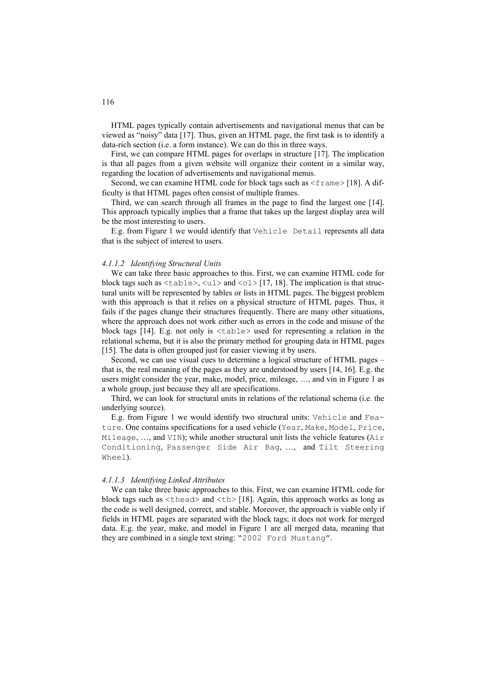HTML pages typically contain advertisements and navigational menus that can be viewed as "noisy" data [17]. Thus, given an HTML page, the first task is to identify a data-rich section (i.e. a form instance). We can do this in three ways.

First, we can compare HTML pages for overlaps in structure [17]. The implication is that all pages from a given website will organize their content in a similar way, regarding the location of advertisements and navigational menus.

Second, we can examine HTML code for block tags such as  $\leq$  frame > [18]. A difficulty is that HTML pages often consist of multiple frames.

Third, we can search through all frames in the page to find the largest one [14]. This approach typically implies that a frame that takes up the largest display area will be the most interesting to users.

E.g. from Figure 1 we would identify that Vehicle Detail represents all data that is the subject of interest to users.

#### *4.1.1.2 Identifying Structural Units*

We can take three basic approaches to this. First, we can examine HTML code for block tags such as  $\langle \text{table}\rangle$ ,  $\langle \text{ul}\rangle$  and  $\langle \text{ol}\rangle$  [17, 18]. The implication is that structural units will be represented by tables or lists in HTML pages. The biggest problem with this approach is that it relies on a physical structure of HTML pages. Thus, it fails if the pages change their structures frequently. There are many other situations, where the approach does not work either such as errors in the code and misuse of the block tags [14]. E.g. not only is <table> used for representing a relation in the relational schema, but it is also the primary method for grouping data in HTML pages [15]. The data is often grouped just for easier viewing it by users.

Second, we can use visual cues to determine a logical structure of HTML pages – that is, the real meaning of the pages as they are understood by users [14, 16]. E.g. the users might consider the year, make, model, price, mileage, …, and vin in Figure 1 as a whole group, just because they all are specifications.

Third, we can look for structural units in relations of the relational schema (i.e. the underlying source).

E.g. from Figure 1 we would identify two structural units: Vehicle and Feature. One contains specifications for a used vehicle (Year, Make, Model, Price, Mileage,  $...,$  and VIN); while another structural unit lists the vehicle features (Air Conditioning, Passenger Side Air Bag, …, and Tilt Steering Wheel).

#### *4.1.1.3 Identifying Linked Attributes*

We can take three basic approaches to this. First, we can examine HTML code for block tags such as  $\langle \text{thead} \rangle$  and  $\langle \text{th} \rangle$  [18]. Again, this approach works as long as the code is well designed, correct, and stable. Moreover, the approach is viable only if fields in HTML pages are separated with the block tags; it does not work for merged data. E.g. the year, make, and model in Figure 1 are all merged data, meaning that they are combined in a single text string: "2002 Ford Mustang".

116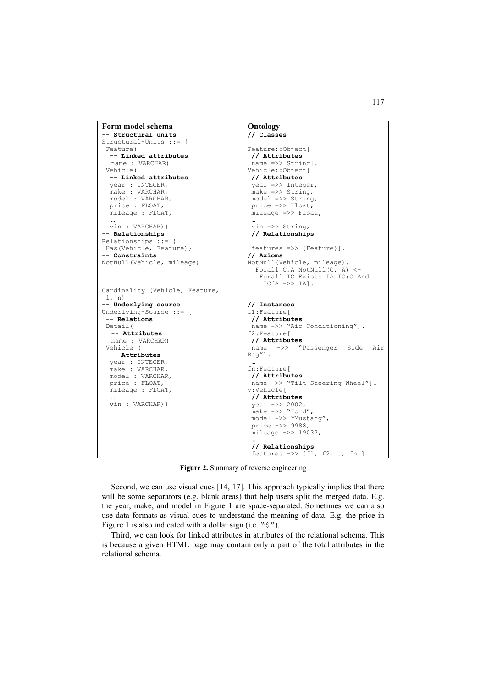```
Form model schema Ontology
-- Structural units 
Structural-Units ::= { 
  Feature( 
   -- Linked attributes 
  name : VARCHAR) 
  Vehicle( 
   -- Linked attributes 
   year : INTEGER, 
   make : VARCHAR, 
   model : VARCHAR, 
   price : FLOAT, 
   mileage : FLOAT, 
   … 
 vin : VARCHAR)} 
-- Relationships 
Relationships ::= { 
 Has(Vehicle, Feature)} 
-- Constraints 
NotNull(Vehicle, mileage) 
Cardinality (Vehicle, Feature, 
 1, n) 
-- Underlying source 
Underlying-Source ::= { 
 -- Relations
  Detail( 
  -- Attributes 
  name : VARCHAR) 
  Vehicle ( 
   -- Attributes 
   year : INTEGER, 
   make : VARCHAR, 
   model : VARCHAR, 
   price : FLOAT, 
   mileage : FLOAT, 
   … 
 vin : VARCHAR)}
                                        // Classes 
                                        Feature::Object[ 
                                         // Attributes 
                                         name =>> String].
                                        Vehicle::Object[ 
                                         // Attributes 
                                          year =>> Integer, 
                                          make =>> String, 
                                          model =>> String, 
                                          price =>> Float, 
                                         mileage \implies Float,
                                          … 
                                          vin =>> String, 
                                          // Relationships 
                                           features =>> {Feature}]. 
                                        // Axioms 
                                        NotNull(Vehicle, mileage). 
                                          Forall C, A NotNull(C, A) <-
                                            Forall IC Exists IA IC:C And 
                                             TC[A \rightarrow] TA].
                                        // Instances 
                                         f1:Feature[ 
                                         // Attributes 
                                          name ->> "Air Conditioning"]. 
                                        f2:Feature[ 
                                         // Attributes 
                                          name ->> "Passenger Side Air 
                                        Bag"]. 
                                          … 
                                        fn:Feature[ 
                                         // Attributes 
                                          name ->> "Tilt Steering Wheel"]. 
                                        v:Vehicle[ 
                                         // Attributes 
                                          year ->> 2002, 
                                          make ->> "Ford", 
                                          model ->> "Mustang", 
                                          price ->> 9988, 
                                          mileage ->> 19037, 
                                          … 
                                           // Relationships 
                                          features \Rightarrow {f1, f2, ..., fn}].
```
**Figure 2.** Summary of reverse engineering

Second, we can use visual cues [14, 17]. This approach typically implies that there will be some separators (e.g. blank areas) that help users split the merged data. E.g. the year, make, and model in Figure 1 are space-separated. Sometimes we can also use data formats as visual cues to understand the meaning of data. E.g. the price in Figure 1 is also indicated with a dollar sign (i.e. "\$").

Third, we can look for linked attributes in attributes of the relational schema. This is because a given HTML page may contain only a part of the total attributes in the relational schema.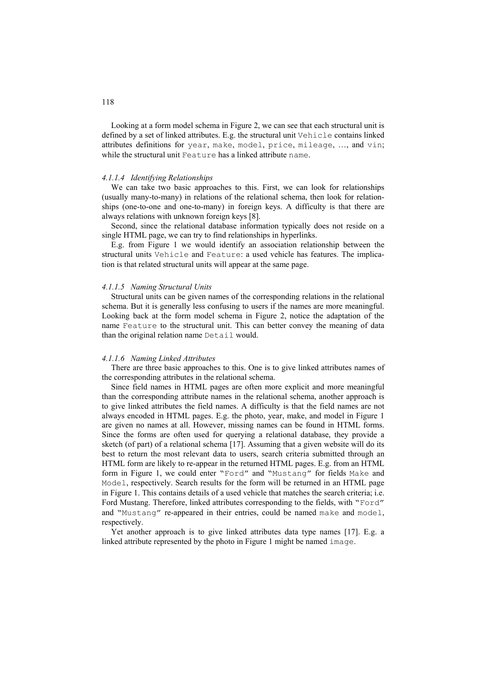Looking at a form model schema in Figure 2, we can see that each structural unit is defined by a set of linked attributes. E.g. the structural unit Vehicle contains linked attributes definitions for year, make, model, price, mileage, …, and vin; while the structural unit Feature has a linked attribute name.

#### *4.1.1.4 Identifying Relationships*

We can take two basic approaches to this. First, we can look for relationships (usually many-to-many) in relations of the relational schema, then look for relationships (one-to-one and one-to-many) in foreign keys. A difficulty is that there are always relations with unknown foreign keys [8].

Second, since the relational database information typically does not reside on a single HTML page, we can try to find relationships in hyperlinks.

E.g. from Figure 1 we would identify an association relationship between the structural units Vehicle and Feature: a used vehicle has features. The implication is that related structural units will appear at the same page.

#### *4.1.1.5 Naming Structural Units*

Structural units can be given names of the corresponding relations in the relational schema. But it is generally less confusing to users if the names are more meaningful. Looking back at the form model schema in Figure 2, notice the adaptation of the name Feature to the structural unit. This can better convey the meaning of data than the original relation name Detail would.

#### *4.1.1.6 Naming Linked Attributes*

There are three basic approaches to this. One is to give linked attributes names of the corresponding attributes in the relational schema.

Since field names in HTML pages are often more explicit and more meaningful than the corresponding attribute names in the relational schema, another approach is to give linked attributes the field names. A difficulty is that the field names are not always encoded in HTML pages. E.g. the photo, year, make, and model in Figure 1 are given no names at all. However, missing names can be found in HTML forms. Since the forms are often used for querying a relational database, they provide a sketch (of part) of a relational schema [17]. Assuming that a given website will do its best to return the most relevant data to users, search criteria submitted through an HTML form are likely to re-appear in the returned HTML pages. E.g. from an HTML form in Figure 1, we could enter "Ford" and "Mustang" for fields Make and Model, respectively. Search results for the form will be returned in an HTML page in Figure 1. This contains details of a used vehicle that matches the search criteria; i.e. Ford Mustang. Therefore, linked attributes corresponding to the fields, with "Ford" and "Mustang" re-appeared in their entries, could be named make and model, respectively.

Yet another approach is to give linked attributes data type names [17]. E.g. a linked attribute represented by the photo in Figure 1 might be named image.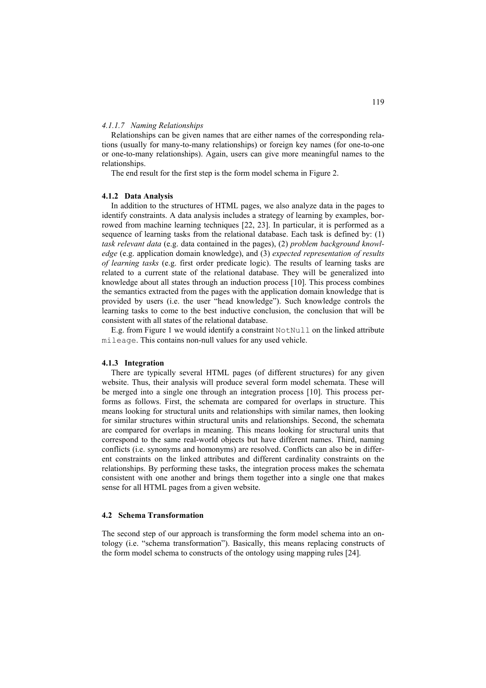#### *4.1.1.7 Naming Relationships*

Relationships can be given names that are either names of the corresponding relations (usually for many-to-many relationships) or foreign key names (for one-to-one or one-to-many relationships). Again, users can give more meaningful names to the relationships.

The end result for the first step is the form model schema in Figure 2.

# **4.1.2 Data Analysis**

In addition to the structures of HTML pages, we also analyze data in the pages to identify constraints. A data analysis includes a strategy of learning by examples, borrowed from machine learning techniques [22, 23]. In particular, it is performed as a sequence of learning tasks from the relational database. Each task is defined by: (1) *task relevant data* (e.g. data contained in the pages), (2) *problem background knowledge* (e.g. application domain knowledge), and (3) *expected representation of results of learning tasks* (e.g. first order predicate logic). The results of learning tasks are related to a current state of the relational database. They will be generalized into knowledge about all states through an induction process [10]. This process combines the semantics extracted from the pages with the application domain knowledge that is provided by users (i.e. the user "head knowledge"). Such knowledge controls the learning tasks to come to the best inductive conclusion, the conclusion that will be consistent with all states of the relational database.

E.g. from Figure 1 we would identify a constraint  $\text{NotNull}$  on the linked attribute mileage. This contains non-null values for any used vehicle.

#### **4.1.3 Integration**

There are typically several HTML pages (of different structures) for any given website. Thus, their analysis will produce several form model schemata. These will be merged into a single one through an integration process [10]. This process performs as follows. First, the schemata are compared for overlaps in structure. This means looking for structural units and relationships with similar names, then looking for similar structures within structural units and relationships. Second, the schemata are compared for overlaps in meaning. This means looking for structural units that correspond to the same real-world objects but have different names. Third, naming conflicts (i.e. synonyms and homonyms) are resolved. Conflicts can also be in different constraints on the linked attributes and different cardinality constraints on the relationships. By performing these tasks, the integration process makes the schemata consistent with one another and brings them together into a single one that makes sense for all HTML pages from a given website.

#### **4.2 Schema Transformation**

The second step of our approach is transforming the form model schema into an ontology (i.e. "schema transformation"). Basically, this means replacing constructs of the form model schema to constructs of the ontology using mapping rules [24].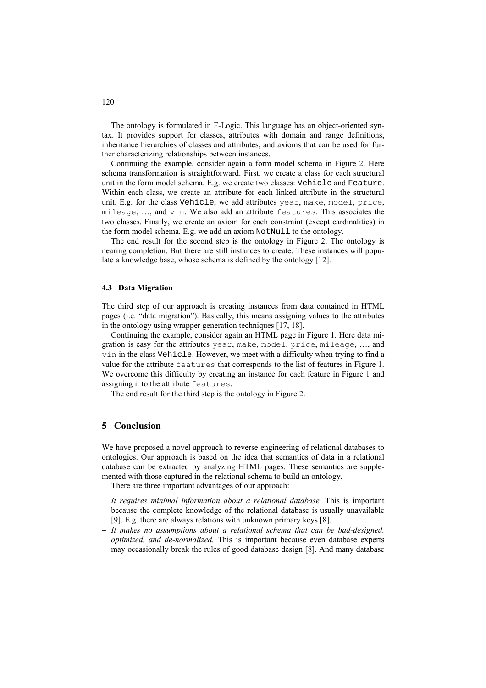The ontology is formulated in F-Logic. This language has an object-oriented syntax. It provides support for classes, attributes with domain and range definitions, inheritance hierarchies of classes and attributes, and axioms that can be used for further characterizing relationships between instances.

Continuing the example, consider again a form model schema in Figure 2. Here schema transformation is straightforward. First, we create a class for each structural unit in the form model schema. E.g. we create two classes: Vehicle and Feature. Within each class, we create an attribute for each linked attribute in the structural unit. E.g. for the class Vehicle, we add attributes year, make, model, price, mileage, …, and vin. We also add an attribute features. This associates the two classes. Finally, we create an axiom for each constraint (except cardinalities) in the form model schema. E.g. we add an axiom NotNull to the ontology.

The end result for the second step is the ontology in Figure 2. The ontology is nearing completion. But there are still instances to create. These instances will populate a knowledge base, whose schema is defined by the ontology [12].

#### **4.3 Data Migration**

The third step of our approach is creating instances from data contained in HTML pages (i.e. "data migration"). Basically, this means assigning values to the attributes in the ontology using wrapper generation techniques [17, 18].

Continuing the example, consider again an HTML page in Figure 1. Here data migration is easy for the attributes year, make, model, price, mileage, …, and vin in the class Vehicle. However, we meet with a difficulty when trying to find a value for the attribute features that corresponds to the list of features in Figure 1. We overcome this difficulty by creating an instance for each feature in Figure 1 and assigning it to the attribute features.

The end result for the third step is the ontology in Figure 2.

# **5 Conclusion**

We have proposed a novel approach to reverse engineering of relational databases to ontologies. Our approach is based on the idea that semantics of data in a relational database can be extracted by analyzing HTML pages. These semantics are supplemented with those captured in the relational schema to build an ontology.

There are three important advantages of our approach:

- − *It requires minimal information about a relational database.* This is important because the complete knowledge of the relational database is usually unavailable [9]. E.g. there are always relations with unknown primary keys [8].
- − *It makes no assumptions about a relational schema that can be bad-designed, optimized, and de-normalized.* This is important because even database experts may occasionally break the rules of good database design [8]. And many database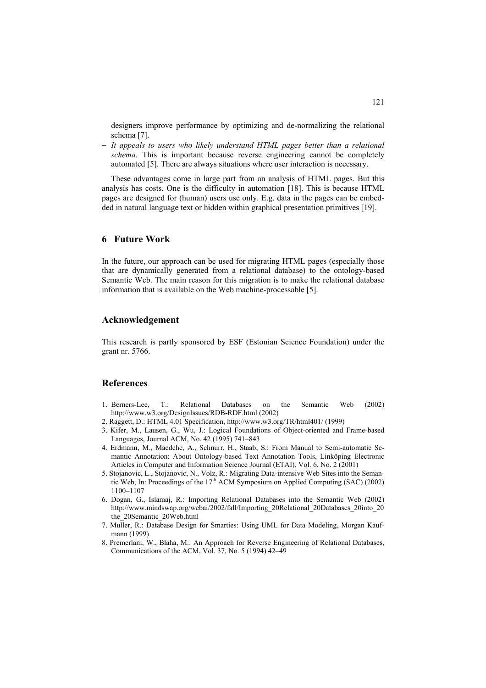designers improve performance by optimizing and de-normalizing the relational schema [7].

− *It appeals to users who likely understand HTML pages better than a relational schema.* This is important because reverse engineering cannot be completely automated [5]. There are always situations where user interaction is necessary.

These advantages come in large part from an analysis of HTML pages. But this analysis has costs. One is the difficulty in automation [18]. This is because HTML pages are designed for (human) users use only. E.g. data in the pages can be embedded in natural language text or hidden within graphical presentation primitives [19].

# **6 Future Work**

In the future, our approach can be used for migrating HTML pages (especially those that are dynamically generated from a relational database) to the ontology-based Semantic Web. The main reason for this migration is to make the relational database information that is available on the Web machine-processable [5].

### **Acknowledgement**

This research is partly sponsored by ESF (Estonian Science Foundation) under the grant nr. 5766.

### **References**

- 1. Berners-Lee, T.: Relational Databases on the Semantic Web (2002) http://www.w3.org/DesignIssues/RDB-RDF.html (2002)
- 2. Raggett, D.: HTML 4.01 Specification, http://www.w3.org/TR/html401/ (1999)
- 3. Kifer, M., Lausen, G., Wu, J.: Logical Foundations of Object-oriented and Frame-based Languages, Journal ACM, No. 42 (1995) 741–843
- 4. Erdmann, M., Maedche, A., Schnurr, H., Staab, S.: From Manual to Semi-automatic Semantic Annotation: About Ontology-based Text Annotation Tools, Linköping Electronic Articles in Computer and Information Science Journal (ETAI), Vol. 6, No. 2 (2001)
- 5. Stojanovic, L., Stojanovic, N., Volz, R.: Migrating Data-intensive Web Sites into the Semantic Web, In: Proceedings of the  $17<sup>th</sup>$  ACM Symposium on Applied Computing (SAC) (2002) 1100–1107
- 6. Dogan, G., Islamaj, R.: Importing Relational Databases into the Semantic Web (2002) http://www.mindswap.org/webai/2002/fall/Importing\_20Relational\_20Databases\_20into\_20 the\_20Semantic\_20Web.html
- 7. Muller, R.: Database Design for Smarties: Using UML for Data Modeling, Morgan Kaufmann (1999)
- 8. Premerlani, W., Blaha, M.: An Approach for Reverse Engineering of Relational Databases, Communications of the ACM, Vol. 37, No. 5 (1994) 42–49